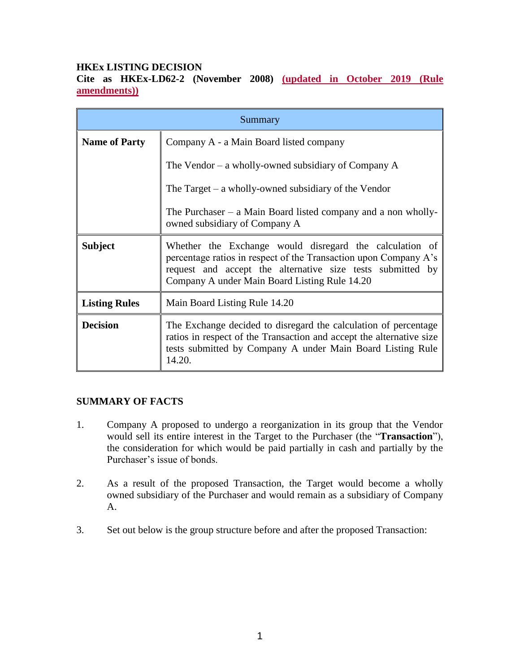### **HKEx LISTING DECISION**

**Cite as HKEx-LD62-2 (November 2008) (updated in October 2019 (Rule amendments))**

| Summary              |                                                                                                                                                                                                                                            |
|----------------------|--------------------------------------------------------------------------------------------------------------------------------------------------------------------------------------------------------------------------------------------|
| <b>Name of Party</b> | Company A - a Main Board listed company                                                                                                                                                                                                    |
|                      | The Vendor $-$ a wholly-owned subsidiary of Company A                                                                                                                                                                                      |
|                      | The Target $-$ a wholly-owned subsidiary of the Vendor                                                                                                                                                                                     |
|                      | The Purchaser $-$ a Main Board listed company and a non wholly-<br>owned subsidiary of Company A                                                                                                                                           |
| <b>Subject</b>       | Whether the Exchange would disregard the calculation of<br>percentage ratios in respect of the Transaction upon Company A's<br>request and accept the alternative size tests submitted by<br>Company A under Main Board Listing Rule 14.20 |
| <b>Listing Rules</b> | Main Board Listing Rule 14.20                                                                                                                                                                                                              |
| <b>Decision</b>      | The Exchange decided to disregard the calculation of percentage<br>ratios in respect of the Transaction and accept the alternative size<br>tests submitted by Company A under Main Board Listing Rule<br>14.20.                            |

## **SUMMARY OF FACTS**

- 1. Company A proposed to undergo a reorganization in its group that the Vendor would sell its entire interest in the Target to the Purchaser (the "**Transaction**"), the consideration for which would be paid partially in cash and partially by the Purchaser's issue of bonds.
- 2. As a result of the proposed Transaction, the Target would become a wholly owned subsidiary of the Purchaser and would remain as a subsidiary of Company A.
- 3. Set out below is the group structure before and after the proposed Transaction: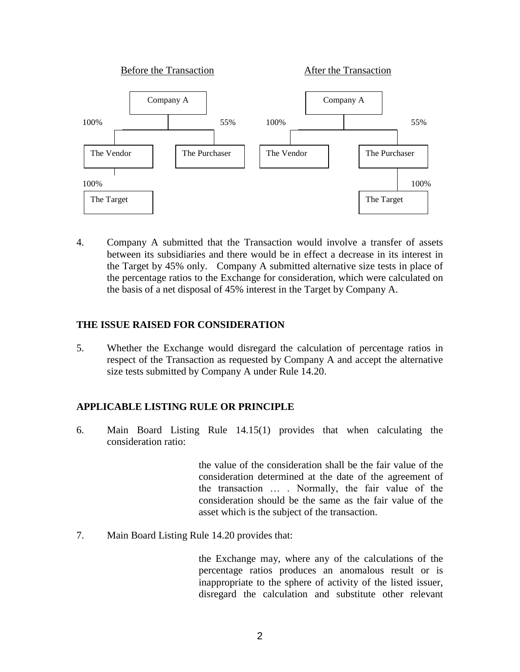

4. Company A submitted that the Transaction would involve a transfer of assets between its subsidiaries and there would be in effect a decrease in its interest in the Target by 45% only. Company A submitted alternative size tests in place of the percentage ratios to the Exchange for consideration, which were calculated on the basis of a net disposal of 45% interest in the Target by Company A.

#### **THE ISSUE RAISED FOR CONSIDERATION**

5. Whether the Exchange would disregard the calculation of percentage ratios in respect of the Transaction as requested by Company A and accept the alternative size tests submitted by Company A under Rule 14.20.

## **APPLICABLE LISTING RULE OR PRINCIPLE**

6. Main Board Listing Rule 14.15(1) provides that when calculating the consideration ratio:

> the value of the consideration shall be the fair value of the consideration determined at the date of the agreement of the transaction … . Normally, the fair value of the consideration should be the same as the fair value of the asset which is the subject of the transaction.

7. Main Board Listing Rule 14.20 provides that:

the Exchange may, where any of the calculations of the percentage ratios produces an anomalous result or is inappropriate to the sphere of activity of the listed issuer, disregard the calculation and substitute other relevant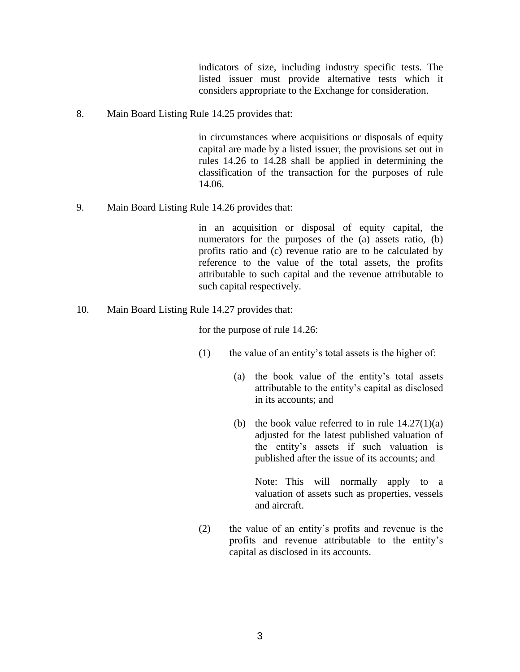indicators of size, including industry specific tests. The listed issuer must provide alternative tests which it considers appropriate to the Exchange for consideration.

8. Main Board Listing Rule 14.25 provides that:

in circumstances where acquisitions or disposals of equity capital are made by a listed issuer, the provisions set out in rules 14.26 to 14.28 shall be applied in determining the classification of the transaction for the purposes of rule 14.06.

9. Main Board Listing Rule 14.26 provides that:

in an acquisition or disposal of equity capital, the numerators for the purposes of the (a) assets ratio, (b) profits ratio and (c) revenue ratio are to be calculated by reference to the value of the total assets, the profits attributable to such capital and the revenue attributable to such capital respectively.

10. Main Board Listing Rule 14.27 provides that:

for the purpose of rule 14.26:

- (1) the value of an entity's total assets is the higher of:
	- (a) the book value of the entity's total assets attributable to the entity's capital as disclosed in its accounts; and
	- (b) the book value referred to in rule  $14.27(1)(a)$ adjusted for the latest published valuation of the entity's assets if such valuation is published after the issue of its accounts; and

Note: This will normally apply to a valuation of assets such as properties, vessels and aircraft.

(2) the value of an entity's profits and revenue is the profits and revenue attributable to the entity's capital as disclosed in its accounts.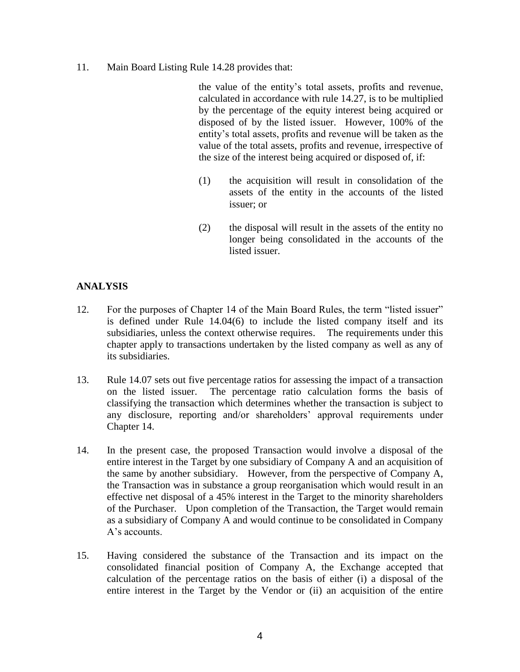11. Main Board Listing Rule 14.28 provides that:

the value of the entity's total assets, profits and revenue, calculated in accordance with rule 14.27, is to be multiplied by the percentage of the equity interest being acquired or disposed of by the listed issuer. However, 100% of the entity's total assets, profits and revenue will be taken as the value of the total assets, profits and revenue, irrespective of the size of the interest being acquired or disposed of, if:

- (1) the acquisition will result in consolidation of the assets of the entity in the accounts of the listed issuer; or
- (2) the disposal will result in the assets of the entity no longer being consolidated in the accounts of the listed issuer.

#### **ANALYSIS**

- 12. For the purposes of Chapter 14 of the Main Board Rules, the term "listed issuer" is defined under Rule 14.04(6) to include the listed company itself and its subsidiaries, unless the context otherwise requires. The requirements under this chapter apply to transactions undertaken by the listed company as well as any of its subsidiaries.
- 13. Rule 14.07 sets out five percentage ratios for assessing the impact of a transaction on the listed issuer. The percentage ratio calculation forms the basis of classifying the transaction which determines whether the transaction is subject to any disclosure, reporting and/or shareholders' approval requirements under Chapter 14.
- 14. In the present case, the proposed Transaction would involve a disposal of the entire interest in the Target by one subsidiary of Company A and an acquisition of the same by another subsidiary. However, from the perspective of Company A, the Transaction was in substance a group reorganisation which would result in an effective net disposal of a 45% interest in the Target to the minority shareholders of the Purchaser. Upon completion of the Transaction, the Target would remain as a subsidiary of Company A and would continue to be consolidated in Company A's accounts.
- 15. Having considered the substance of the Transaction and its impact on the consolidated financial position of Company A, the Exchange accepted that calculation of the percentage ratios on the basis of either (i) a disposal of the entire interest in the Target by the Vendor or (ii) an acquisition of the entire